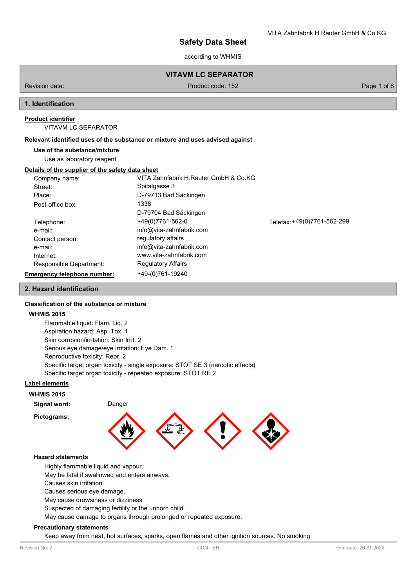according to WHMIS

# **VITAVM LC SEPARATOR**

Revision date: Product code: 152 Page 1 of 8 Page 1 of 8

## **1. Identification**

## **Product identifier**

VITAVM LC SEPARATOR

#### **Relevant identified uses of the substance or mixture and uses advised against**

#### **Use of the substance/mixture**

Use as laboratory reagent

#### **Details of the supplier of the safety data sheet**

| Company name:                      | VITA Zahnfabrik H.Rauter GmbH & Co.KG |                             |
|------------------------------------|---------------------------------------|-----------------------------|
| Street:                            | Spitalgasse 3                         |                             |
| Place:                             | D-79713 Bad Säckingen                 |                             |
| Post-office box:                   | 1338                                  |                             |
|                                    | D-79704 Bad Säckingen                 |                             |
| Telephone:                         | +49(0)7761-562-0                      | Telefax: +49(0)7761-562-299 |
| e-mail:                            | info@vita-zahnfabrik.com              |                             |
| Contact person:                    | regulatory affairs                    |                             |
| e-mail:                            | info@vita-zahnfabrik.com              |                             |
| Internet:                          | www.vita-zahnfabrik.com               |                             |
| Responsible Department:            | <b>Regulatory Affairs</b>             |                             |
| <b>Emergency telephone number:</b> | +49-(0)761-19240                      |                             |

## **2. Hazard identification**

## **Classification of the substance or mixture**

#### **WHMIS 2015**

Flammable liquid: Flam. Liq. 2 Aspiration hazard: Asp. Tox. 1 Skin corrosion/irritation: Skin Irrit. 2 Serious eye damage/eye irritation: Eye Dam. 1 Reproductive toxicity: Repr. 2 Specific target organ toxicity - single exposure: STOT SE 3 (narcotic effects) Specific target organ toxicity - repeated exposure: STOT RE 2

#### **Label elements**

**WHMIS 2015**

**Pictograms:**

**Signal word:** Danger



#### **Hazard statements**

Highly flammable liquid and vapour.

May be fatal if swallowed and enters airways.

Causes skin irritation.

Causes serious eye damage.

May cause drowsiness or dizziness.

Suspected of damaging fertility or the unborn child.

May cause damage to organs through prolonged or repeated exposure.

#### **Precautionary statements**

Keep away from heat, hot surfaces, sparks, open flames and other ignition sources. No smoking.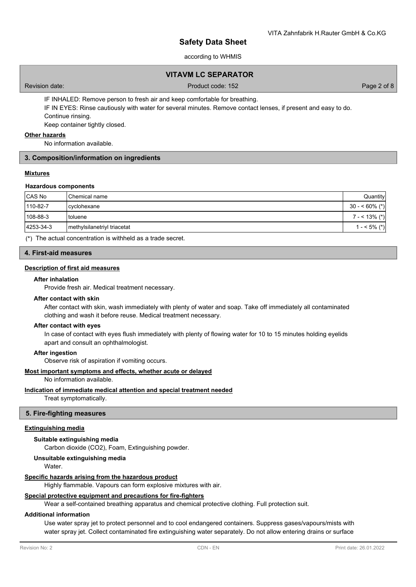## according to WHMIS

## **VITAVM LC SEPARATOR**

Revision date: Product code: 152 Page 2 of 8

IF INHALED: Remove person to fresh air and keep comfortable for breathing. IF IN EYES: Rinse cautiously with water for several minutes. Remove contact lenses, if present and easy to do. Continue rinsing. Keep container tightly closed.

## **Other hazards**

No information available.

## **3. Composition/information on ingredients**

## **Mixtures**

#### **Hazardous components**

| CAS No    | <b>I</b> Chemical name      | Quantity        |
|-----------|-----------------------------|-----------------|
| 110-82-7  | cyclohexane                 | $30 - 60\%$ (*) |
| 108-88-3  | <b>I</b> toluene            | $7 - 13\%$ (*)  |
| 4253-34-3 | methylsilanetriyl triacetat | $1 - 5\%$ (*)   |

(\*) The actual concentration is withheld as a trade secret.

## **4. First-aid measures**

## **Description of first aid measures**

#### **After inhalation**

Provide fresh air. Medical treatment necessary.

#### **After contact with skin**

After contact with skin, wash immediately with plenty of water and soap. Take off immediately all contaminated clothing and wash it before reuse. Medical treatment necessary.

#### **After contact with eyes**

In case of contact with eyes flush immediately with plenty of flowing water for 10 to 15 minutes holding eyelids apart and consult an ophthalmologist.

#### **After ingestion**

Observe risk of aspiration if vomiting occurs.

## **Most important symptoms and effects, whether acute or delayed**

No information available.

## **Indication of immediate medical attention and special treatment needed**

Treat symptomatically.

## **5. Fire-fighting measures**

#### **Extinguishing media**

## **Suitable extinguishing media**

Carbon dioxide (CO2), Foam, Extinguishing powder.

#### **Unsuitable extinguishing media**

Water.

#### **Specific hazards arising from the hazardous product**

Highly flammable. Vapours can form explosive mixtures with air.

## **Special protective equipment and precautions for fire-fighters**

Wear a self-contained breathing apparatus and chemical protective clothing. Full protection suit.

#### **Additional information**

Use water spray jet to protect personnel and to cool endangered containers. Suppress gases/vapours/mists with water spray jet. Collect contaminated fire extinguishing water separately. Do not allow entering drains or surface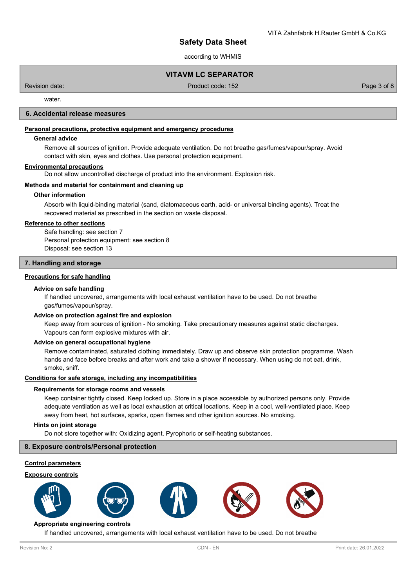according to WHMIS

## **VITAVM LC SEPARATOR**

Revision date: Product code: 152 Page 3 of 8

water

## **6. Accidental release measures**

## **Personal precautions, protective equipment and emergency procedures**

#### **General advice**

Remove all sources of ignition. Provide adequate ventilation. Do not breathe gas/fumes/vapour/spray. Avoid contact with skin, eyes and clothes. Use personal protection equipment.

#### **Environmental precautions**

Do not allow uncontrolled discharge of product into the environment. Explosion risk.

## **Methods and material for containment and cleaning up**

## **Other information**

Absorb with liquid-binding material (sand, diatomaceous earth, acid- or universal binding agents). Treat the recovered material as prescribed in the section on waste disposal.

## **Reference to other sections**

Safe handling: see section 7 Personal protection equipment: see section 8 Disposal: see section 13

## **7. Handling and storage**

## **Precautions for safe handling**

#### **Advice on safe handling**

If handled uncovered, arrangements with local exhaust ventilation have to be used. Do not breathe gas/fumes/vapour/spray.

#### **Advice on protection against fire and explosion**

Keep away from sources of ignition - No smoking. Take precautionary measures against static discharges. Vapours can form explosive mixtures with air.

#### **Advice on general occupational hygiene**

Remove contaminated, saturated clothing immediately. Draw up and observe skin protection programme. Wash hands and face before breaks and after work and take a shower if necessary. When using do not eat, drink, smoke, sniff.

#### **Conditions for safe storage, including any incompatibilities**

#### **Requirements for storage rooms and vessels**

Keep container tightly closed. Keep locked up. Store in a place accessible by authorized persons only. Provide adequate ventilation as well as local exhaustion at critical locations. Keep in a cool, well-ventilated place. Keep away from heat, hot surfaces, sparks, open flames and other ignition sources. No smoking.

## **Hints on joint storage**

Do not store together with: Oxidizing agent. Pyrophoric or self-heating substances.

#### **8. Exposure controls/Personal protection**

## **Control parameters**

#### **Exposure controls**











## **Appropriate engineering controls**

If handled uncovered, arrangements with local exhaust ventilation have to be used. Do not breathe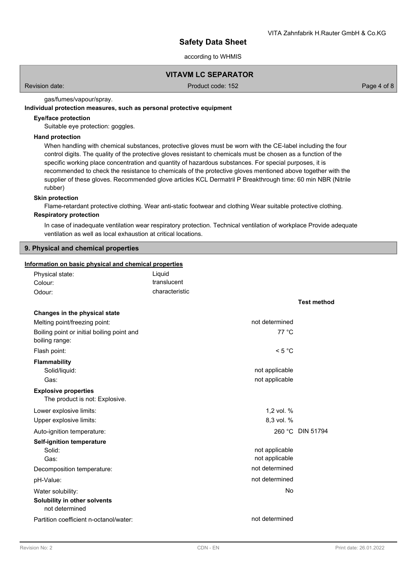according to WHMIS

## **VITAVM LC SEPARATOR**

Revision date: Product code: 152 Page 4 of 8

gas/fumes/vapour/spray.

## **Individual protection measures, such as personal protective equipment**

## **Eye/face protection**

Suitable eye protection: goggles.

## **Hand protection**

When handling with chemical substances, protective gloves must be worn with the CE-label including the four control digits. The quality of the protective gloves resistant to chemicals must be chosen as a function of the specific working place concentration and quantity of hazardous substances. For special purposes, it is recommended to check the resistance to chemicals of the protective gloves mentioned above together with the supplier of these gloves. Recommended glove articles KCL Dermatril P Breakthrough time: 60 min NBR (Nitrile rubber)

#### **Skin protection**

Flame-retardant protective clothing. Wear anti-static footwear and clothing Wear suitable protective clothing.

## **Respiratory protection**

In case of inadequate ventilation wear respiratory protection. Technical ventilation of workplace Provide adequate ventilation as well as local exhaustion at critical locations.

## **9. Physical and chemical properties**

#### **Information on basic physical and chemical properties**

| Physical state:<br>Colour:                                    | Liquid<br>translucent |                    |
|---------------------------------------------------------------|-----------------------|--------------------|
| Odour:                                                        | characteristic        |                    |
|                                                               |                       |                    |
|                                                               |                       | <b>Test method</b> |
| Changes in the physical state                                 |                       |                    |
| Melting point/freezing point:                                 | not determined        |                    |
| Boiling point or initial boiling point and<br>boiling range:  | 77 °C                 |                    |
| Flash point:                                                  | < 5 °C                |                    |
| <b>Flammability</b>                                           |                       |                    |
| Solid/liquid:                                                 | not applicable        |                    |
| Gas:                                                          | not applicable        |                    |
| <b>Explosive properties</b><br>The product is not: Explosive. |                       |                    |
| Lower explosive limits:                                       | 1,2 vol. %            |                    |
| Upper explosive limits:                                       | 8,3 vol. %            |                    |
| Auto-ignition temperature:                                    |                       | 260 °C DIN 51794   |
| <b>Self-ignition temperature</b>                              |                       |                    |
| Solid:                                                        | not applicable        |                    |
| Gas:                                                          | not applicable        |                    |
| Decomposition temperature:                                    | not determined        |                    |
| pH-Value:                                                     | not determined        |                    |
| Water solubility:                                             | No                    |                    |
| Solubility in other solvents<br>not determined                |                       |                    |
| Partition coefficient n-octanol/water:                        | not determined        |                    |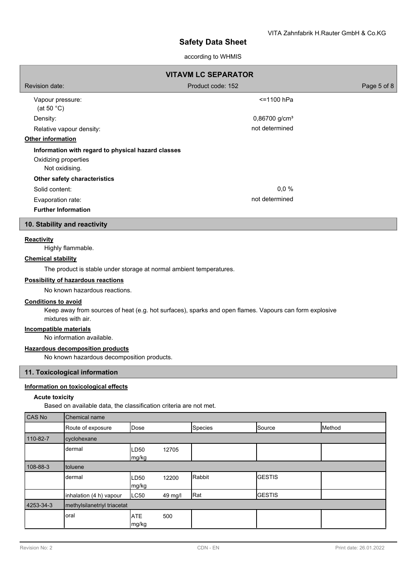## according to WHMIS

| <b>VITAVM LC SEPARATOR</b>                                                                   |                             |             |  |  |  |
|----------------------------------------------------------------------------------------------|-----------------------------|-------------|--|--|--|
| Revision date:                                                                               | Product code: 152           | Page 5 of 8 |  |  |  |
| Vapour pressure:<br>(at 50 $^{\circ}$ C)                                                     | <=1100 hPa                  |             |  |  |  |
| Density:                                                                                     | $0,86700$ g/cm <sup>3</sup> |             |  |  |  |
| Relative vapour density:                                                                     | not determined              |             |  |  |  |
| Other information                                                                            |                             |             |  |  |  |
| Information with regard to physical hazard classes<br>Oxidizing properties<br>Not oxidising. |                             |             |  |  |  |
| Other safety characteristics                                                                 |                             |             |  |  |  |
| Solid content:                                                                               | 0,0%                        |             |  |  |  |
| Evaporation rate:                                                                            | not determined              |             |  |  |  |
| <b>Further Information</b>                                                                   |                             |             |  |  |  |
| 10. Stability and reactivity                                                                 |                             |             |  |  |  |
| <b>Reactivity</b><br>Highly flammable.                                                       |                             |             |  |  |  |

# **Chemical stability**

The product is stable under storage at normal ambient temperatures.

## **Possibility of hazardous reactions**

No known hazardous reactions.

## **Conditions to avoid**

Keep away from sources of heat (e.g. hot surfaces), sparks and open flames. Vapours can form explosive mixtures with air.

## **Incompatible materials**

No information available.

## **Hazardous decomposition products**

No known hazardous decomposition products.

## **11. Toxicological information**

## **Information on toxicological effects**

## **Acute toxicity**

Based on available data, the classification criteria are not met.

| <b>CAS No</b> | Chemical name               |                     |         |                |               |        |
|---------------|-----------------------------|---------------------|---------|----------------|---------------|--------|
|               | Route of exposure           | Dose                |         | <b>Species</b> | Source        | Method |
| 110-82-7      | cyclohexane                 |                     |         |                |               |        |
|               | dermal                      | LD50<br>mg/kg       | 12705   |                |               |        |
| 108-88-3      | toluene                     |                     |         |                |               |        |
|               | dermal                      | LD50<br>mg/kg       | 12200   | Rabbit         | <b>GESTIS</b> |        |
|               | inhalation (4 h) vapour     | LC50                | 49 mg/l | Rat            | <b>GESTIS</b> |        |
| 4253-34-3     | methylsilanetriyl triacetat |                     |         |                |               |        |
|               | oral                        | <b>ATE</b><br>mg/kg | 500     |                |               |        |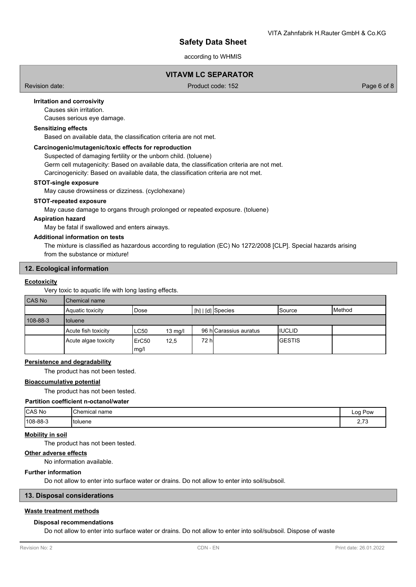according to WHMIS

## **VITAVM LC SEPARATOR**

Revision date: Product code: 152 Page 6 of 8

## **Irritation and corrosivity**

Causes skin irritation.

Causes serious eye damage.

# **Sensitizing effects**

Based on available data, the classification criteria are not met.

## **Carcinogenic/mutagenic/toxic effects for reproduction**

Suspected of damaging fertility or the unborn child. (toluene)

Germ cell mutagenicity: Based on available data, the classification criteria are not met.

Carcinogenicity: Based on available data, the classification criteria are not met.

#### **STOT-single exposure**

May cause drowsiness or dizziness. (cyclohexane)

#### **STOT-repeated exposure**

May cause damage to organs through prolonged or repeated exposure. (toluene)

#### **Aspiration hazard**

May be fatal if swallowed and enters airways.

#### **Additional information on tests**

The mixture is classified as hazardous according to regulation (EC) No 1272/2008 [CLP]. Special hazards arising from the substance or mixture!

#### **12. Ecological information**

#### **Ecotoxicity**

Very toxic to aquatic life with long lasting effects.

#### CAS No Chemical na

| טוו טר <i>ו</i> ש | <b>UICHIU CHI HAIHE</b> |                           |                   |       |                                               |                |                 |
|-------------------|-------------------------|---------------------------|-------------------|-------|-----------------------------------------------|----------------|-----------------|
|                   | Aquatic toxicity        | Dose                      |                   |       | $\lfloor$ [h] $\lfloor$ [d] $\rfloor$ Species | lSource        | <b>I</b> Method |
| $108 - 88 - 3$    | I toluene               |                           |                   |       |                                               |                |                 |
|                   | Acute fish toxicity     | LC50                      | $13 \text{ mg/l}$ |       | 96 hlCarassius auratus                        | <b>IIUCLID</b> |                 |
|                   | Acute algae toxicity    | ErC <sub>50</sub><br>mg/l | 12,5              | 72 hl |                                               | IGESTIS        |                 |

## **Persistence and degradability**

The product has not been tested.

## **Bioaccumulative potential**

The product has not been tested.

#### **Partition coefficient n-octanol/water**

| CAS No          | <b>Chemical</b><br>name | Pow<br>Log                |
|-----------------|-------------------------|---------------------------|
| $ 108 - 88 - 3$ | Itoluene                | $-20$<br>$\sim$<br>$\sim$ |

#### **Mobility in soil**

The product has not been tested.

## **Other adverse effects**

No information available.

## **Further information**

Do not allow to enter into surface water or drains. Do not allow to enter into soil/subsoil.

## **13. Disposal considerations**

## **Waste treatment methods**

#### **Disposal recommendations**

Do not allow to enter into surface water or drains. Do not allow to enter into soil/subsoil. Dispose of waste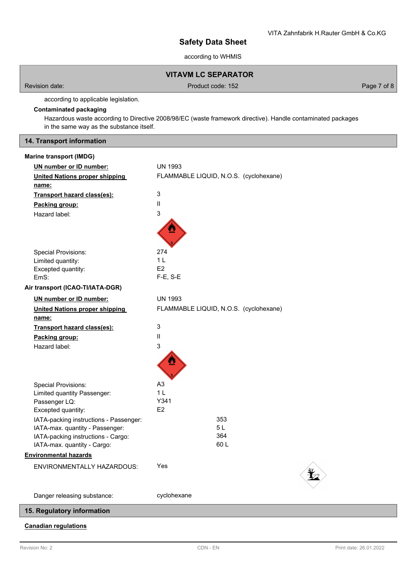according to WHMIS

# **VITAVM LC SEPARATOR**

Revision date: Product code: 152 Page 7 of 8

according to applicable legislation.

# **Contaminated packaging**

Hazardous waste according to Directive 2008/98/EC (waste framework directive). Handle contaminated packages in the same way as the substance itself.

## **14. Transport information**

## **Marine transport (IMDG)**

| UN number or ID number:                | <b>UN 1993</b>                         |  |
|----------------------------------------|----------------------------------------|--|
| <b>United Nations proper shipping</b>  | FLAMMABLE LIQUID, N.O.S. (cyclohexane) |  |
| name:                                  |                                        |  |
| Transport hazard class(es):            | $\mathsf 3$                            |  |
| Packing group:                         | Ш                                      |  |
| Hazard label:                          | 3                                      |  |
|                                        |                                        |  |
| <b>Special Provisions:</b>             | 274                                    |  |
| Limited quantity:                      | 1 <sup>L</sup>                         |  |
| Excepted quantity:                     | E <sub>2</sub>                         |  |
| EmS:                                   | $F-E$ , $S-E$                          |  |
| Air transport (ICAO-TI/IATA-DGR)       |                                        |  |
| UN number or ID number:                | <b>UN 1993</b>                         |  |
| <b>United Nations proper shipping</b>  | FLAMMABLE LIQUID, N.O.S. (cyclohexane) |  |
| name:                                  |                                        |  |
| Transport hazard class(es):            | $\mathsf 3$                            |  |
| Packing group:                         | $\ensuremath{\mathsf{II}}$             |  |
| Hazard label:                          | 3                                      |  |
|                                        |                                        |  |
| <b>Special Provisions:</b>             | A <sub>3</sub>                         |  |
| Limited quantity Passenger:            | 1 <sub>L</sub>                         |  |
| Passenger LQ:                          | Y341                                   |  |
| Excepted quantity:                     | E <sub>2</sub>                         |  |
| IATA-packing instructions - Passenger: | 353                                    |  |
| IATA-max. quantity - Passenger:        | 5L                                     |  |
| IATA-packing instructions - Cargo:     | 364                                    |  |
| IATA-max. quantity - Cargo:            | 60L                                    |  |
| <b>Environmental hazards</b>           |                                        |  |
| <b>ENVIRONMENTALLY HAZARDOUS:</b>      | Yes                                    |  |
| Danger releasing substance:            | cyclohexane                            |  |
| 15. Regulatory information             |                                        |  |

## **Canadian regulations**